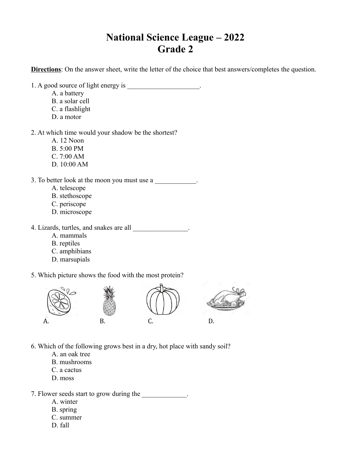## **National Science League – 2022 Grade 2**

**Directions**: On the answer sheet, write the letter of the choice that best answers/completes the question.

- 1. A good source of light energy is
	- A. a battery
	- B. a solar cell
	- C. a flashlight
	- D. a motor
- 2. At which time would your shadow be the shortest?
	- A. 12 Noon
	- B. 5:00 PM
	- C. 7:00 AM
	- D. 10:00 AM
- 3. To better look at the moon you must use a
	- A. telescope
	- B. stethoscope
	- C. periscope
	- D. microscope

4. Lizards, turtles, and snakes are all  $\blacksquare$ .

- A. mammals
- B. reptiles
- C. amphibians
- D. marsupials

5. Which picture shows the food with the most protein?



6. Which of the following grows best in a dry, hot place with sandy soil?

- A. an oak tree
- B. mushrooms
- C. a cactus
- D. moss

7. Flower seeds start to grow during the  $\blacksquare$ 

- A. winter
- B. spring
- C. summer
- D. fall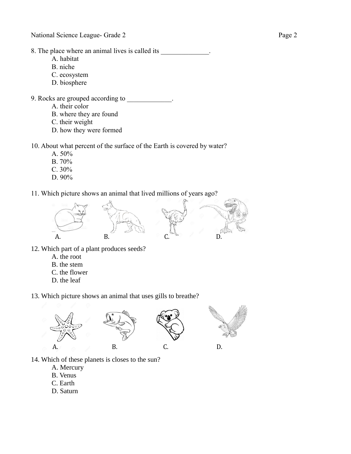- 8. The place where an animal lives is called its  $\cdot$ 
	- A. habitat
	- B. niche
	- C. ecosystem
	- D. biosphere
- 9. Rocks are grouped according to  $\cdot$ .
	- A. their color
	- B. where they are found
	- C. their weight
	- D. how they were formed

10. About what percent of the surface of the Earth is covered by water?

- A. 50%
- B. 70%
- C. 30%
- D. 90%

11. Which picture shows an animal that lived millions of years ago?



- 12. Which part of a plant produces seeds?
	- A. the root
	- B. the stem
	- C. the flower
	- D. the leaf

13. Which picture shows an animal that uses gills to breathe?



- 14. Which of these planets is closes to the sun?
	- A. Mercury
	- B. Venus
	- C. Earth
	- D. Saturn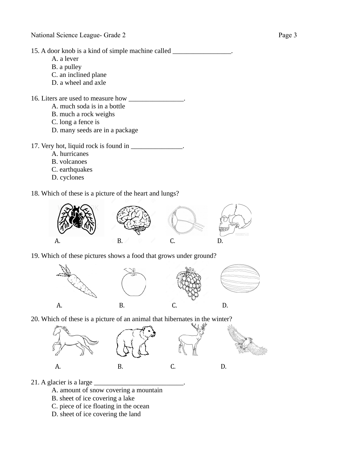15. A door knob is a kind of simple machine called \_\_\_\_\_\_\_\_\_\_\_\_\_\_\_\_\_.

- A. a lever
- B. a pulley
- C. an inclined plane
- D. a wheel and axle

16. Liters are used to measure how \_\_\_\_\_\_\_\_\_\_\_\_\_\_\_.

- A. much soda is in a bottle
- B. much a rock weighs
- C. long a fence is
- D. many seeds are in a package

17. Very hot, liquid rock is found in \_\_\_\_\_\_\_\_\_\_\_\_\_\_.

- A. hurricanes
- B. volcanoes
- C. earthquakes
- D. cyclones

18. Which of these is a picture of the heart and lungs?



19. Which of these pictures shows a food that grows under ground?



20. Which of these is a picture of an animal that hibernates in the winter?



21. A glacier is a large \_\_\_\_\_\_\_\_\_\_\_\_\_\_\_\_\_\_\_\_\_\_\_\_\_\_.

- A. amount of snow covering a mountain
- B. sheet of ice covering a lake
- C. piece of ice floating in the ocean
- D. sheet of ice covering the land